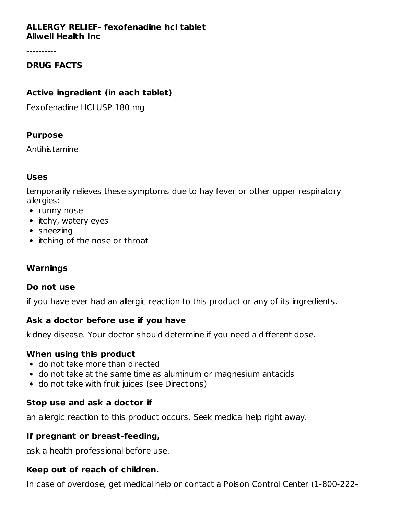#### **ALLERGY RELIEF- fexofenadine hcl tablet Allwell Health Inc**

----------

## **DRUG FACTS**

#### **Active ingredient (in each tablet)**

Fexofenadine HCl USP 180 mg

#### **Purpose**

Antihistamine

#### **Uses**

temporarily relieves these symptoms due to hay fever or other upper respiratory allergies:

- runny nose
- itchy, watery eyes
- sneezing
- itching of the nose or throat

#### **Warnings**

#### **Do not use**

if you have ever had an allergic reaction to this product or any of its ingredients.

#### **Ask a doctor before use if you have**

kidney disease. Your doctor should determine if you need a different dose.

#### **When using this product**

- do not take more than directed
- do not take at the same time as aluminum or magnesium antacids
- do not take with fruit juices (see Directions)

#### **Stop use and ask a doctor if**

an allergic reaction to this product occurs. Seek medical help right away.

#### **If pregnant or breast-feeding,**

ask a health professional before use.

#### **Keep out of reach of children.**

In case of overdose, get medical help or contact a Poison Control Center (1-800-222-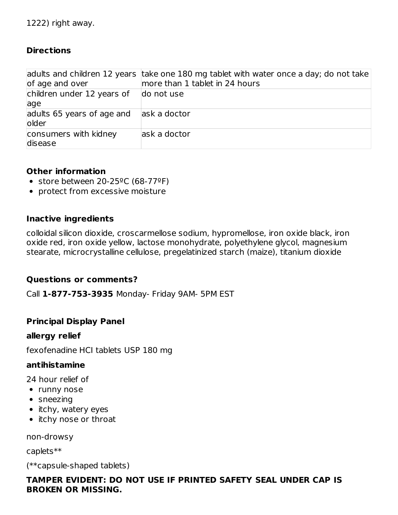## **Directions**

| of age and over                      | adults and children 12 years take one 180 mg tablet with water once a day; do not take<br>more than 1 tablet in 24 hours |
|--------------------------------------|--------------------------------------------------------------------------------------------------------------------------|
| children under 12 years of           | do not use                                                                                                               |
| age                                  |                                                                                                                          |
| adults 65 years of age and<br>lolder | ask a doctor                                                                                                             |
| consumers with kidney<br>disease     | ask a doctor                                                                                                             |

#### **Other information**

- store between  $20-25^{\circ}$ C (68-77°F)
- protect from excessive moisture

#### **Inactive ingredients**

colloidal silicon dioxide, croscarmellose sodium, hypromellose, iron oxide black, iron oxide red, iron oxide yellow, lactose monohydrate, polyethylene glycol, magnesium stearate, microcrystalline cellulose, pregelatinized starch (maize), titanium dioxide

#### **Questions or comments?**

Call **1-877-753-3935** Monday- Friday 9AM- 5PM EST

#### **Principal Display Panel**

#### **allergy relief**

fexofenadine HCI tablets USP 180 mg

#### **antihistamine**

24 hour relief of

- runny nose
- sneezing
- itchy, watery eyes
- itchy nose or throat

non-drowsy

caplets\*\*

(\*\*capsule-shaped tablets)

#### **TAMPER EVIDENT: DO NOT USE IF PRINTED SAFETY SEAL UNDER CAP IS BROKEN OR MISSING.**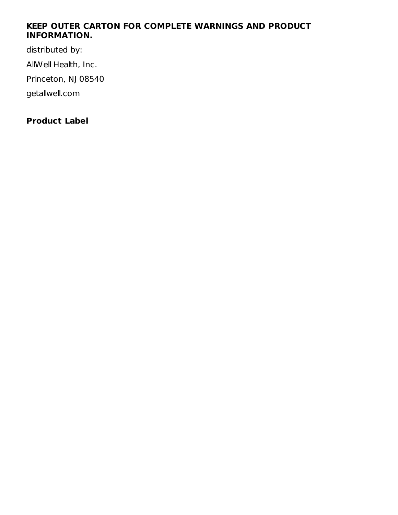#### **KEEP OUTER CARTON FOR COMPLETE WARNINGS AND PRODUCT INFORMATION.**

distributed by: AllWell Health, Inc. Princeton, NJ 08540 getallwell.com

# **Product Label**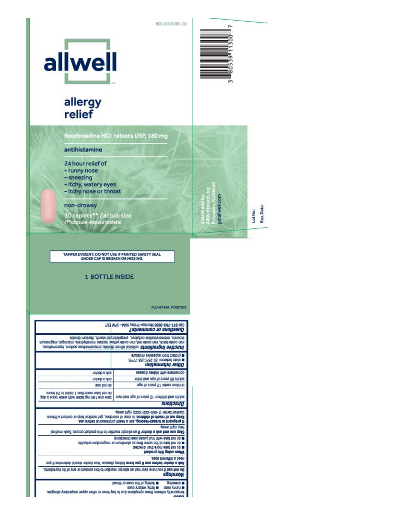NDC 80539-801-30





ā

ğ

Lot No.:<br>Exp. Date:

# allergy<br>relief

fexofenadine HCI tablets USP, 180 mg

#### antihistamine

- 24 hour relief of
- runny nose
- sneezing
- itchy, watery eyes
- itchy nose or throat

#### non-drowsy

30 caplets\*\* / actual size<br>(\*\*capsule-shaped tablets)

TAMPER EVIDENT: DO NOT USE IF PRINTED SAFETY SEAL<br>UNDER CAP IS BROKEN OR MISSING.

#### 1 BOTTLE INSIDE

PLD-8743A FC007922

|                                                                                                                                                                                                  | Call MRC -MAR year)-yeard Mongol SAM-1718 (is)<br>Guestions or comments?                                                                                                                                                        |  |  |  |  |
|--------------------------------------------------------------------------------------------------------------------------------------------------------------------------------------------------|---------------------------------------------------------------------------------------------------------------------------------------------------------------------------------------------------------------------------------|--|--|--|--|
| irileangam ,logonsam ,stistbytfonom seoltusi ,wolley sbixo non ,ben sbixo noni ,kuald sbixo noni<br>Jnacthre Ingrediterrate collecte silicon dipide, croscamellose sodun, hypromellose,          | stearate, microcrystaline cellulose, pregelatinged starch, titamium dioxide                                                                                                                                                     |  |  |  |  |
|                                                                                                                                                                                                  | mutatom eviassoxe molt toelong<br>■ 8000 papveen Sp-S2-C (89-11-F)<br>иодешюци зэцід                                                                                                                                            |  |  |  |  |
| ask a doctor                                                                                                                                                                                     | cousumers with kidney disease                                                                                                                                                                                                   |  |  |  |  |
| Talbob & Xas                                                                                                                                                                                     | adults 65 years of age and older                                                                                                                                                                                                |  |  |  |  |
| asn you op                                                                                                                                                                                       | children under 12 years of age                                                                                                                                                                                                  |  |  |  |  |
| gnuod 4S ni feldst 1 neitt etom selst fon ob<br>take one 180 mg tablet with water once a day                                                                                                     | revolte and children 12 years of age and over                                                                                                                                                                                   |  |  |  |  |
|                                                                                                                                                                                                  | suonoana                                                                                                                                                                                                                        |  |  |  |  |
|                                                                                                                                                                                                  | Control Center (1-900-222-1222) right away.<br>Keep out of reach of children, in case of overdose, get medical help or contact a Poison<br>If pregnant or breast-feeding, ask a health professional before use.<br>таме топ двл |  |  |  |  |
|                                                                                                                                                                                                  | Slop use and ask a doctor if an allergic reaction to this product cocurs. Seek medical                                                                                                                                          |  |  |  |  |
| a do not take with jurit julices (see Directions)<br>abiostria muitengam to munimula as emit emas ert ta sikit for ob =<br>betoerib narti enom exist fon ob m<br><b>Toubong airth prisu nedW</b> |                                                                                                                                                                                                                                 |  |  |  |  |
| веор лизната в ревл.<br>Ask a doctor before use if you have kidney deases. Your doctor should determine if you                                                                                   |                                                                                                                                                                                                                                 |  |  |  |  |
| De ned use if you have ever had an allergic reaction to this product or any of its ingredients.<br>sБијшем                                                                                       |                                                                                                                                                                                                                                 |  |  |  |  |
|                                                                                                                                                                                                  | Teoria to sepn ert to grittol<br><b>DUZDOUS M</b><br><b>MICITY, WARDY CYCS</b><br>asou Auuru<br>saignails yofirages they are aying the to hay tever or other respect respectively.                                              |  |  |  |  |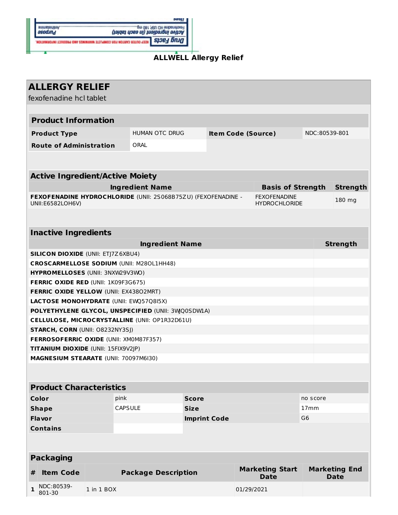

#### **ALLWELL Allergy Relief**

| <b>ALLERGY RELIEF</b><br>fexofenadine hcl tablet                                                                                 |                       |                                       |                           |                                       |                                     |                 |  |  |
|----------------------------------------------------------------------------------------------------------------------------------|-----------------------|---------------------------------------|---------------------------|---------------------------------------|-------------------------------------|-----------------|--|--|
|                                                                                                                                  |                       |                                       |                           |                                       |                                     |                 |  |  |
| <b>Product Information</b>                                                                                                       |                       |                                       |                           |                                       |                                     |                 |  |  |
| <b>Product Type</b>                                                                                                              | <b>HUMAN OTC DRUG</b> |                                       | <b>Item Code (Source)</b> |                                       |                                     | NDC:80539-801   |  |  |
| <b>Route of Administration</b>                                                                                                   | ORAL                  |                                       |                           |                                       |                                     |                 |  |  |
|                                                                                                                                  |                       |                                       |                           |                                       |                                     |                 |  |  |
| <b>Active Ingredient/Active Moiety</b>                                                                                           |                       |                                       |                           |                                       |                                     |                 |  |  |
| <b>Ingredient Name</b><br><b>Basis of Strength</b>                                                                               |                       |                                       |                           |                                       |                                     | <b>Strength</b> |  |  |
| FEXOFENADINE HYDROCHLORIDE (UNII: 2S068B75ZU) (FEXOFENADINE -<br><b>FEXOFENADINE</b><br>UNII:E6582LOH6V)<br><b>HYDROCHLORIDE</b> |                       |                                       |                           | 180 mg                                |                                     |                 |  |  |
|                                                                                                                                  |                       |                                       |                           |                                       |                                     |                 |  |  |
| <b>Inactive Ingredients</b>                                                                                                      |                       |                                       |                           |                                       |                                     |                 |  |  |
| <b>Ingredient Name</b>                                                                                                           |                       |                                       |                           |                                       |                                     | <b>Strength</b> |  |  |
| <b>SILICON DIOXIDE (UNII: ETJ7Z6XBU4)</b>                                                                                        |                       |                                       |                           |                                       |                                     |                 |  |  |
| <b>CROSCARMELLOSE SODIUM (UNII: M280L1HH48)</b>                                                                                  |                       |                                       |                           |                                       |                                     |                 |  |  |
| HYPROMELLOSES (UNII: 3NXW29V3WO)                                                                                                 |                       |                                       |                           |                                       |                                     |                 |  |  |
| <b>FERRIC OXIDE RED (UNII: 1K09F3G675)</b>                                                                                       |                       |                                       |                           |                                       |                                     |                 |  |  |
| FERRIC OXIDE YELLOW (UNII: EX43802MRT)                                                                                           |                       |                                       |                           |                                       |                                     |                 |  |  |
| <b>LACTOSE MONOHYDRATE (UNII: EWQ57Q8I5X)</b>                                                                                    |                       |                                       |                           |                                       |                                     |                 |  |  |
| POLYETHYLENE GLYCOL, UNSPECIFIED (UNII: 3WQ0SDW1A)                                                                               |                       |                                       |                           |                                       |                                     |                 |  |  |
| CELLULOSE, MICROCRYSTALLINE (UNII: OP1R32D61U)                                                                                   |                       |                                       |                           |                                       |                                     |                 |  |  |
| <b>STARCH, CORN (UNII: O8232NY3SJ)</b>                                                                                           |                       |                                       |                           |                                       |                                     |                 |  |  |
| <b>FERROSOFERRIC OXIDE (UNII: XM0M87F357)</b>                                                                                    |                       |                                       |                           |                                       |                                     |                 |  |  |
| TITANIUM DIOXIDE (UNII: 15FIX9V2JP)                                                                                              |                       |                                       |                           |                                       |                                     |                 |  |  |
| MAGNESIUM STEARATE (UNII: 70097M6I30)                                                                                            |                       |                                       |                           |                                       |                                     |                 |  |  |
|                                                                                                                                  |                       |                                       |                           |                                       |                                     |                 |  |  |
| <b>Product Characteristics</b>                                                                                                   |                       |                                       |                           |                                       |                                     |                 |  |  |
| <b>Color</b>                                                                                                                     | pink                  | <b>Score</b>                          |                           |                                       | no score                            |                 |  |  |
| <b>Shape</b>                                                                                                                     | <b>CAPSULE</b>        | <b>Size</b>                           |                           |                                       | 17mm                                |                 |  |  |
| <b>Flavor</b>                                                                                                                    |                       | G <sub>6</sub><br><b>Imprint Code</b> |                           |                                       |                                     |                 |  |  |
| <b>Contains</b>                                                                                                                  |                       |                                       |                           |                                       |                                     |                 |  |  |
|                                                                                                                                  |                       |                                       |                           |                                       |                                     |                 |  |  |
| <b>Packaging</b>                                                                                                                 |                       |                                       |                           |                                       |                                     |                 |  |  |
| <b>Item Code</b><br>#                                                                                                            |                       | <b>Package Description</b>            |                           | <b>Marketing Start</b><br><b>Date</b> | <b>Marketing End</b><br><b>Date</b> |                 |  |  |
| NDC:80539-<br>1 in 1 BOX<br>1<br>801-30                                                                                          |                       |                                       |                           | 01/29/2021                            |                                     |                 |  |  |